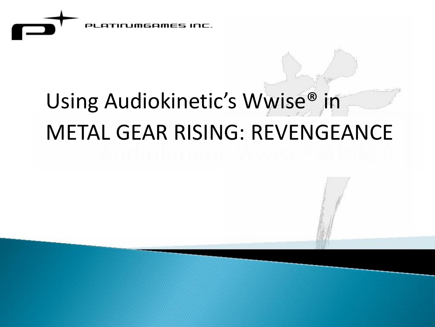

# Using Audiokinetic's Wwise® in METAL GEAR RISING: REVENGEANCE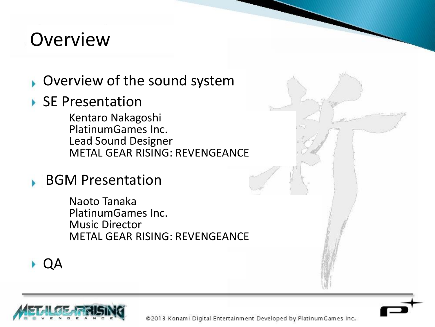#### Overview

- **D** Overview of the sound system
- ▶ SE Presentation

Kentaro Nakagoshi PlatinumGames Inc. Lead Sound Designer METAL GEAR RISING: REVENGEANCE

BGM Presentation

Naoto Tanaka PlatinumGames Inc. Music Director METAL GEAR RISING: REVENGEANCE

QA

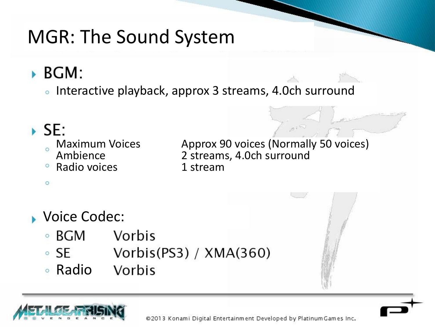## MGR: The Sound System

#### $\triangleright$  BGM:

• Interactive playback, approx 3 streams, 4.0ch surround

#### $\triangleright$  SE:

 $\circ$ 

- 
- 
- Radio voices **1 stream**

Maximum Voices Approx 90 voices (Normally 50 voices)<br>
Ambience 2 streams, 4.0ch surround 2 streams, 4.0ch surround

**Voice Codec:** 

- $\circ$  BGM Vorbis
- Vorbis(PS3) /  $XMA(360)$  $\circ$  SE
- RadioVorbis

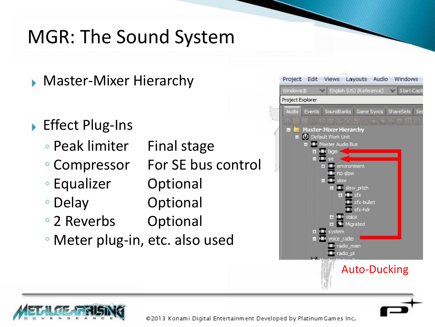## MGR: The Sound System

- **Master-Mixer Hierarchy**
- ▶ Effect Plug-Ins
	- Peak limiter Final stage
	- Compressor For SE bus control
	- Equalizer Optional
	- Delay **Optional**
	- 2 Reverbs Optional
	- Meter plug-in, etc. also used



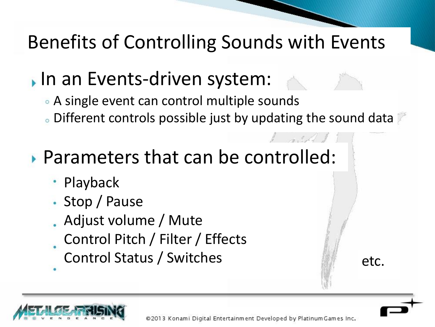## Benefits of Controlling Sounds with Events

## In an Events-driven system:

- A single event can control multiple sounds
- Different controls possible just by updating the sound data

## Parameters that can be controlled:

- Playback
- Stop / Pause
- Adjust volume / Mute
- Control Pitch / Filter / Effects
- Control Status / Switches etc.

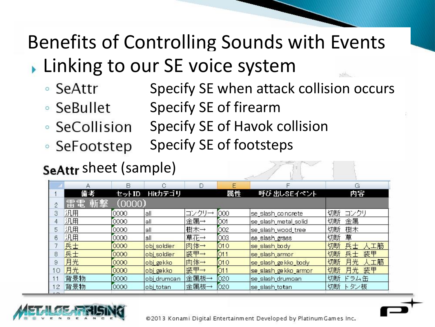# Benefits of Controlling Sounds with Events

- **Linking to our SE voice system** 
	- Specify SE when attack collision occurs ∘ SeAttr
	- Specify SE of firearm ∘ SeBullet
	- Specify SE of Havok collision • SeCollision
	- Specify SE of footsteps ∘ SeFootstep

#### SeAttr sheet (sample)

|                | Α         | B      | C                 | D     | Ε     | F                     | G               |
|----------------|-----------|--------|-------------------|-------|-------|-----------------------|-----------------|
|                | 備考        | セットID  | Hitカテゴリ           |       | 属性    | 呼び 出しSEイベント           | 内容              |
|                | 雷電<br> 斬撃 | (0000) |                   |       |       |                       |                 |
|                | 汎用        | 0000   | all               | コンクリー | 000   | se_slash_concrete     | 切断<br>コンクリ      |
|                | 汎用        | 0000   | all               | 金属→   | 001   | se_slash_metal_solid  | 切断<br>金属        |
| 5              | 汎用        | 0000   | all               | 樹木→   | 002   | se_slash_wood_tree    | 樹木<br>切断        |
| 6              | 汎用        | 0000   | all               | 草花→   | 003   | se_slash_grass        | 草<br>切断         |
|                | 兵士        | 0000   | obj soldier       | 肉体→   | 010   | se slash body         | 兵士<br>切断<br>人工筋 |
| 8              | 兵士        | 0000   | obj soldier       | 装甲→   | [O11] | se_slash_armor        | 兵士<br>装甲<br>切断  |
| 9              | 月光        | 0000   | obj gekko         | 肉体→   | [O10] | se_slash_gekko_body   | 月光<br>工筋<br>切断  |
| $\circ$        | 月光        | 0000   | objgekko          | 装甲→   | [O11  | se_slash_ge kko_armor | 月光<br>装甲<br>切断  |
|                | 背景物       | 0000   | obj_drumcan       | 金属板→  | 020   | se_slash_drumcan      | 切断<br>ドラム缶      |
| $\overline{2}$ | 背景物       | 0000   | ob <u>i</u> totan | 金属板→  | 020   | se_slash_totan        | 切断<br>トタン板      |

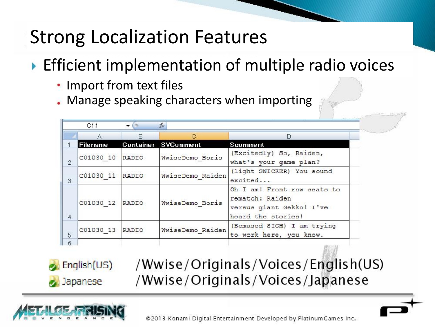## Strong Localization Features

#### **Efficient implementation of multiple radio voices**

- Import from text files
- Manage speaking characters when importing

|                | A               | B     | e                   | D                                                                                                |
|----------------|-----------------|-------|---------------------|--------------------------------------------------------------------------------------------------|
|                | Filename        |       | Container SVComment | Scomment                                                                                         |
| $\overline{2}$ | C01030 10       | RADIO | WwiseDemo Boris     | (Excitedly) So, Raiden,<br>what's your game plan?                                                |
| 3              | C01030 11 RADIO |       | WwiseDemo Raiden    | (light SNICKER) You sound<br>excited                                                             |
| $\overline{4}$ | C01030 12       | RADIO | WwiseDemo Boris     | Oh I am! Front row seats to<br>rematch: Raiden<br>versus giant Gekko! I've<br>heard the stories! |
| 5              | C01030 13       | RADIO | WwiseDemo Raiden    | (Bemused SIGH) I am trying<br>to work here, you know.                                            |

English(US) Japanese

/Wwise/Originals/Voices/English(US) /Wwise/Originals/Voices/Japanese



©2013 Konami Digital Entertainment Developed by Platinum Games Inc.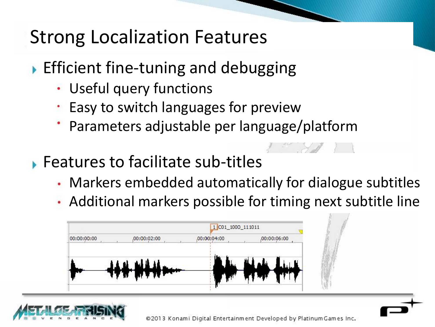### Strong Localization Features

- $\triangleright$  Efficient fine-tuning and debugging
	- Useful query functions
	- **Easy to switch languages for preview**
	- Parameters adjustable per language/platform
- **Features to facilitate sub-titles** 
	- Markers embedded automatically for dialogue subtitles
	- Additional markers possible for timing next subtitle line